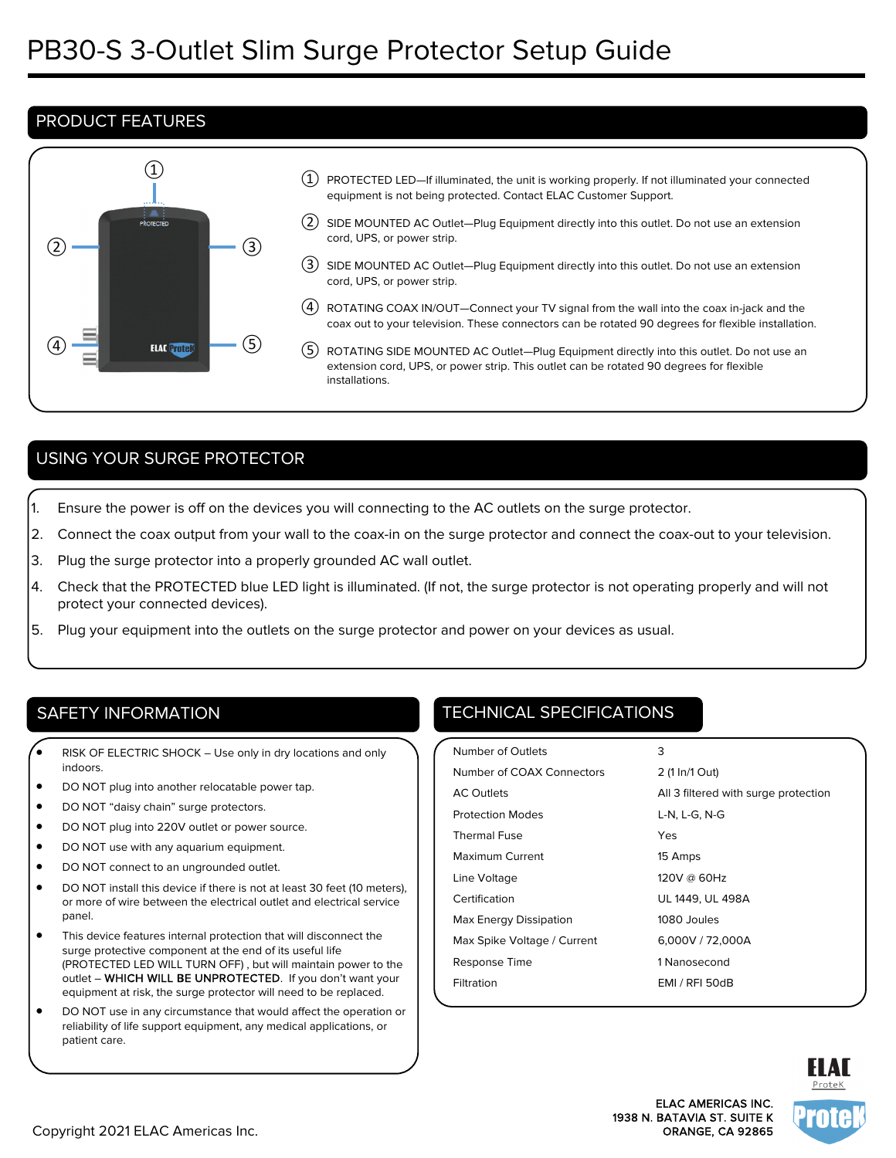## PRODUCT FEATURES



- $\left( 1\right) \,$  PROTECTED LED—If illuminated, the unit is working properly. If not illuminated your connected equipment is not being protected. Contact ELAC Customer Support.
- ② SIDE MOUNTED AC Outlet—Plug Equipment directly into this outlet. Do not use an extension cord, UPS, or power strip.
- ③ SIDE MOUNTED AC Outlet—Plug Equipment directly into this outlet. Do not use an extension cord, UPS, or power strip.
- ④ ROTATING COAX IN/OUT—Connect your TV signal from the wall into the coax in-jack and the coax out to your television. These connectors can be rotated 90 degrees for flexible installation.
- ⑤ ROTATING SIDE MOUNTED AC Outlet—Plug Equipment directly into this outlet. Do not use an extension cord, UPS, or power strip. This outlet can be rotated 90 degrees for flexible installations.

# USING YOUR SURGE PROTECTOR

- 1. Ensure the power is off on the devices you will connecting to the AC outlets on the surge protector.
- 2. Connect the coax output from your wall to the coax-in on the surge protector and connect the coax-out to your television.
- 3. Plug the surge protector into a properly grounded AC wall outlet.
- 4. Check that the PROTECTED blue LED light is illuminated. (If not, the surge protector is not operating properly and will not protect your connected devices).
- 5. Plug your equipment into the outlets on the surge protector and power on your devices as usual.

- RISK OF ELECTRIC SHOCK Use only in dry locations and only indoors.
- DO NOT plug into another relocatable power tap.
- DO NOT "daisy chain" surge protectors.
- DO NOT plug into 220V outlet or power source.
- DO NOT use with any aquarium equipment.
- DO NOT connect to an ungrounded outlet.
- DO NOT install this device if there is not at least 30 feet (10 meters), or more of wire between the electrical outlet and electrical service panel.
- This device features internal protection that will disconnect the surge protective component at the end of its useful life (PROTECTED LED WILL TURN OFF) , but will maintain power to the outlet – WHICH WILL BE UNPROTECTED. If you don't want your equipment at risk, the surge protector will need to be replaced.
- DO NOT use in any circumstance that would affect the operation or reliability of life support equipment, any medical applications, or patient care.

# SAFETY INFORMATION **TECHNICAL SPECIFICATIONS**

| Number of Outlets           | 3                                    |
|-----------------------------|--------------------------------------|
| Number of COAX Connectors   | 2 (1 In/1 Out)                       |
| <b>AC Outlets</b>           | All 3 filtered with surge protection |
| <b>Protection Modes</b>     | L-N, L-G, N-G                        |
| <b>Thermal Fuse</b>         | Yes                                  |
| Maximum Current             | 15 Amps                              |
| Line Voltage                | 120V @ 60Hz                          |
| Certification               | UL 1449, UL 498A                     |
| Max Energy Dissipation      | 1080 Joules                          |
| Max Spike Voltage / Current | 6,000V / 72,000A                     |
| Response Time               | 1 Nanosecond                         |
| Filtration                  | EMI / RFI 50dB                       |
|                             |                                      |